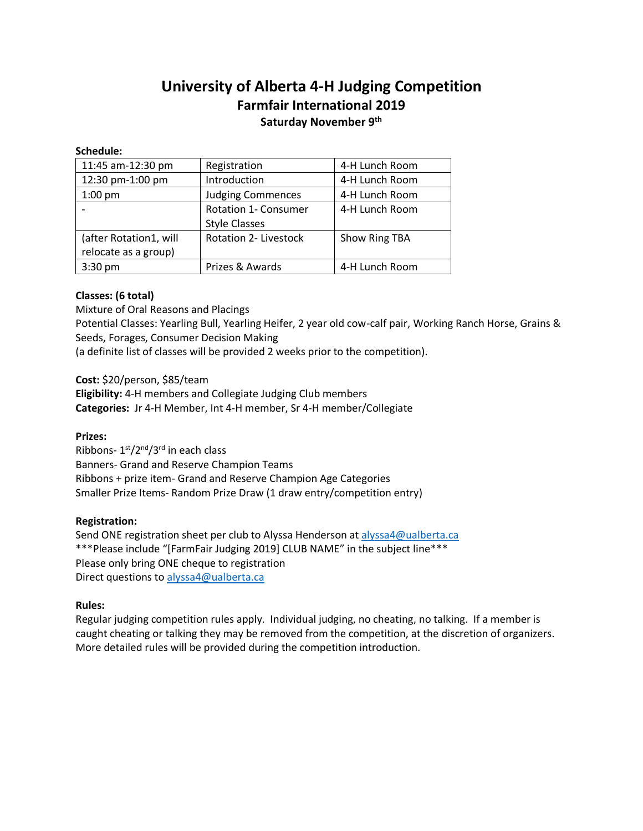# **University of Alberta 4-H Judging Competition Farmfair International 2019 Saturday November 9th**

#### **Schedule:**

| 11:45 am-12:30 pm      | Registration                 | 4-H Lunch Room |
|------------------------|------------------------------|----------------|
| 12:30 pm-1:00 pm       | Introduction                 | 4-H Lunch Room |
| $1:00$ pm              | <b>Judging Commences</b>     | 4-H Lunch Room |
|                        | <b>Rotation 1- Consumer</b>  | 4-H Lunch Room |
|                        | <b>Style Classes</b>         |                |
| (after Rotation1, will | <b>Rotation 2- Livestock</b> | Show Ring TBA  |
| relocate as a group)   |                              |                |
| $3:30$ pm              | Prizes & Awards              | 4-H Lunch Room |

### **Classes: (6 total)**

Mixture of Oral Reasons and Placings Potential Classes: Yearling Bull, Yearling Heifer, 2 year old cow-calf pair, Working Ranch Horse, Grains & Seeds, Forages, Consumer Decision Making (a definite list of classes will be provided 2 weeks prior to the competition).

**Cost:** \$20/person, \$85/team

**Eligibility:** 4-H members and Collegiate Judging Club members **Categories:** Jr 4-H Member, Int 4-H member, Sr 4-H member/Collegiate

#### **Prizes:**

Ribbons- 1<sup>st</sup>/2<sup>nd</sup>/3<sup>rd</sup> in each class Banners- Grand and Reserve Champion Teams Ribbons + prize item- Grand and Reserve Champion Age Categories Smaller Prize Items- Random Prize Draw (1 draw entry/competition entry)

#### **Registration:**

Send ONE registration sheet per club to Alyssa Henderson a[t alyssa4@ualberta.ca](mailto:alyssa4@ualberta.ca) \*\*\*Please include "[FarmFair Judging 2019] CLUB NAME" in the subject line\*\*\* Please only bring ONE cheque to registration Direct questions to [alyssa4@ualberta.ca](mailto:alyssa4@ualberta.ca)

#### **Rules:**

Regular judging competition rules apply. Individual judging, no cheating, no talking. If a member is caught cheating or talking they may be removed from the competition, at the discretion of organizers. More detailed rules will be provided during the competition introduction.